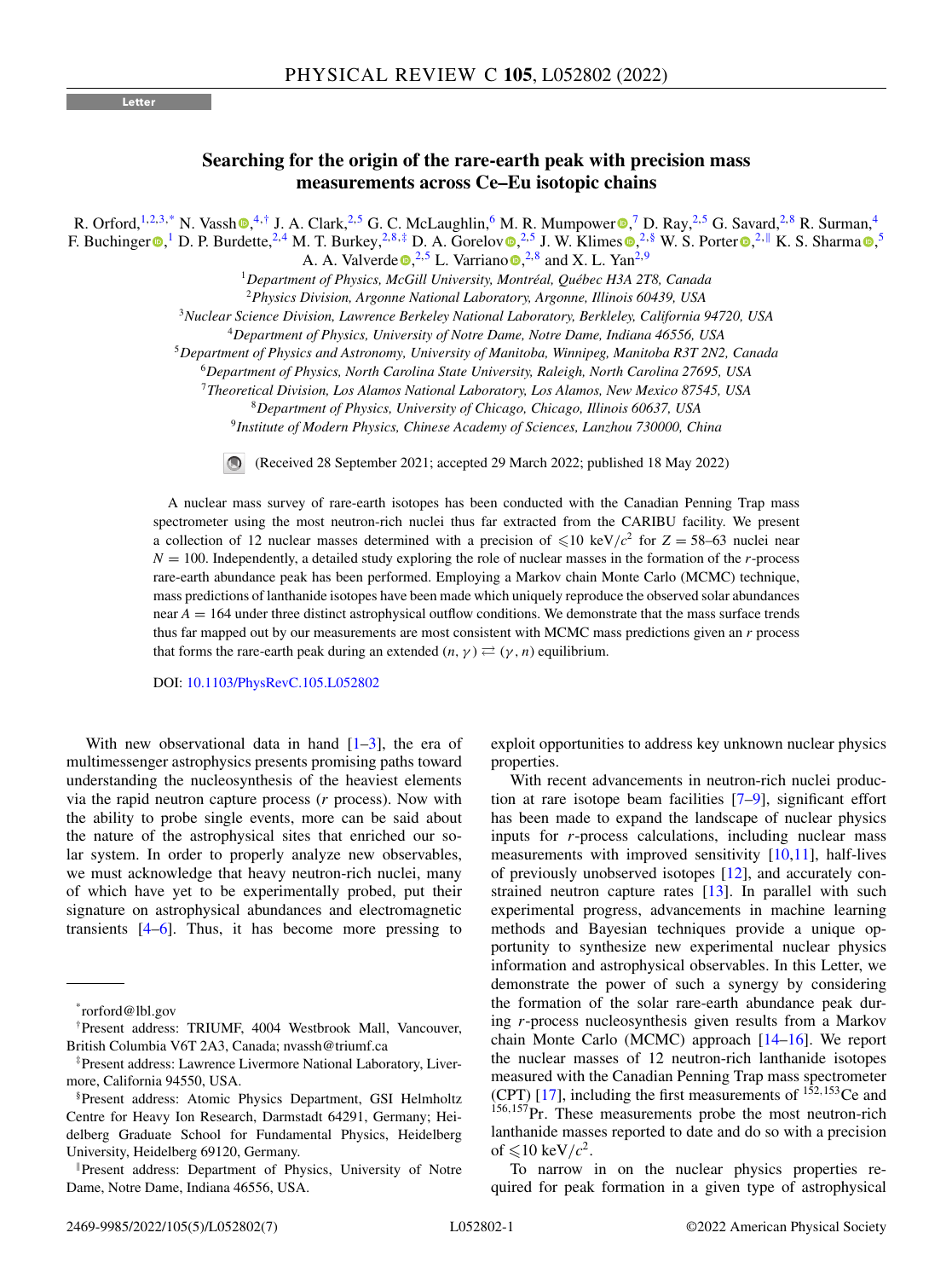## **Letter**

## **Searching for the origin of the rare-earth peak with precision mass measurements across Ce–Eu isotopic chains**

R. Orford[,](https://orcid.org/0000-0002-3305-4326) <sup>1,2,3,\*</sup> N. Vassh  $\mathbb{Q},^{4,\dagger}$  $\mathbb{Q},^{4,\dagger}$  $\mathbb{Q},^{4,\dagger}$  J. A. Clark, <sup>2,5</sup> G. C. McLaughlin,  $^6$  M. R. Mumpower  $\mathbb{Q},^7$  D. Ray,  $^{2,5}$  G. Savard,  $^{2,8}$  R. Surman,  $^4$ F. Buchinge[r](https://orcid.org/0000-0002-5172-3298) **.**<sup>1</sup> D. P. Burdette,<sup>2,4</sup> M. T. Burkey,<sup>2,8,‡</sup> D. A. Gorelo[v](https://orcid.org/0000-0002-5489-6303) **.**<sup>2[,](https://orcid.org/0000-0001-7470-325X)5</sup> J. W. Klimes **.**<sup>2,§</sup> W. S. Porter **.**<sup>2,||</sup> K. S. Sharma **.**<sup>5</sup>,<sup>5</sup>

A. A. Valverde  $\bullet$ [,](https://orcid.org/0000-0001-5961-0688)<sup>2,5</sup> L. Varriano  $\bullet$ ,<sup>2,8</sup> and X. L. Yan<sup>2,9</sup>

<sup>1</sup>*Department of Physics, McGill University, Montréal, Québec H3A 2T8, Canada*

<sup>2</sup>*Physics Division, Argonne National Laboratory, Argonne, Illinois 60439, USA*

<sup>3</sup>*Nuclear Science Division, Lawrence Berkeley National Laboratory, Berkleley, California 94720, USA*

<sup>4</sup>*Department of Physics, University of Notre Dame, Notre Dame, Indiana 46556, USA*

<sup>5</sup>*Department of Physics and Astronomy, University of Manitoba, Winnipeg, Manitoba R3T 2N2, Canada*

<sup>6</sup>*Department of Physics, North Carolina State University, Raleigh, North Carolina 27695, USA*

<sup>7</sup>*Theoretical Division, Los Alamos National Laboratory, Los Alamos, New Mexico 87545, USA*

<sup>8</sup>*Department of Physics, University of Chicago, Chicago, Illinois 60637, USA*

<sup>9</sup>*Institute of Modern Physics, Chinese Academy of Sciences, Lanzhou 730000, China*

(Received 28 September 2021; accepted 29 March 2022; published 18 May 2022)

A nuclear mass survey of rare-earth isotopes has been conducted with the Canadian Penning Trap mass spectrometer using the most neutron-rich nuclei thus far extracted from the CARIBU facility. We present a collection of 12 nuclear masses determined with a precision of  $\leq 10 \text{ keV}/c^2$  for  $Z = 58-63$  nuclei near *N* = 100. Independently, a detailed study exploring the role of nuclear masses in the formation of the *r*-process rare-earth abundance peak has been performed. Employing a Markov chain Monte Carlo (MCMC) technique, mass predictions of lanthanide isotopes have been made which uniquely reproduce the observed solar abundances near  $A = 164$  under three distinct astrophysical outflow conditions. We demonstrate that the mass surface trends thus far mapped out by our measurements are most consistent with MCMC mass predictions given an *r* process that forms the rare-earth peak during an extended  $(n, \gamma) \rightleftarrows (\gamma, n)$  equilibrium.

DOI: [10.1103/PhysRevC.105.L052802](https://doi.org/10.1103/PhysRevC.105.L052802)

With new observational data in hand  $[1-3]$ , the era of multimessenger astrophysics presents promising paths toward understanding the nucleosynthesis of the heaviest elements via the rapid neutron capture process (*r* process). Now with the ability to probe single events, more can be said about the nature of the astrophysical sites that enriched our solar system. In order to properly analyze new observables, we must acknowledge that heavy neutron-rich nuclei, many of which have yet to be experimentally probed, put their signature on astrophysical abundances and electromagnetic transients  $[4-6]$ . Thus, it has become more pressing to

exploit opportunities to address key unknown nuclear physics properties.

With recent advancements in neutron-rich nuclei production at rare isotope beam facilities [\[7–9\]](#page-5-0), significant effort has been made to expand the landscape of nuclear physics inputs for *r*-process calculations, including nuclear mass measurements with improved sensitivity  $[10,11]$ , half-lives of previously unobserved isotopes [\[12\]](#page-5-0), and accurately constrained neutron capture rates [\[13\]](#page-5-0). In parallel with such experimental progress, advancements in machine learning methods and Bayesian techniques provide a unique opportunity to synthesize new experimental nuclear physics information and astrophysical observables. In this Letter, we demonstrate the power of such a synergy by considering the formation of the solar rare-earth abundance peak during *r*-process nucleosynthesis given results from a Markov chain Monte Carlo (MCMC) approach [\[14–16\]](#page-5-0). We report the nuclear masses of 12 neutron-rich lanthanide isotopes measured with the Canadian Penning Trap mass spectrometer (CPT) [\[17\]](#page-5-0), including the first measurements of  $152,153$ Ce and <sup>156,157</sup>Pr. These measurements probe the most neutron-rich lanthanide masses reported to date and do so with a precision of  $\leq 10 \text{ keV}/c^2$ .

To narrow in on the nuclear physics properties required for peak formation in a given type of astrophysical

<sup>\*</sup>rorford@lbl.gov

<sup>†</sup>Present address: TRIUMF, 4004 Westbrook Mall, Vancouver, British Columbia V6T 2A3, Canada; nvassh@triumf.ca

<sup>‡</sup>Present address: Lawrence Livermore National Laboratory, Livermore, California 94550, USA.

<sup>§</sup>Present address: Atomic Physics Department, GSI Helmholtz Centre for Heavy Ion Research, Darmstadt 64291, Germany; Heidelberg Graduate School for Fundamental Physics, Heidelberg University, Heidelberg 69120, Germany.

<sup>-</sup>Present address: Department of Physics, University of Notre Dame, Notre Dame, Indiana 46556, USA.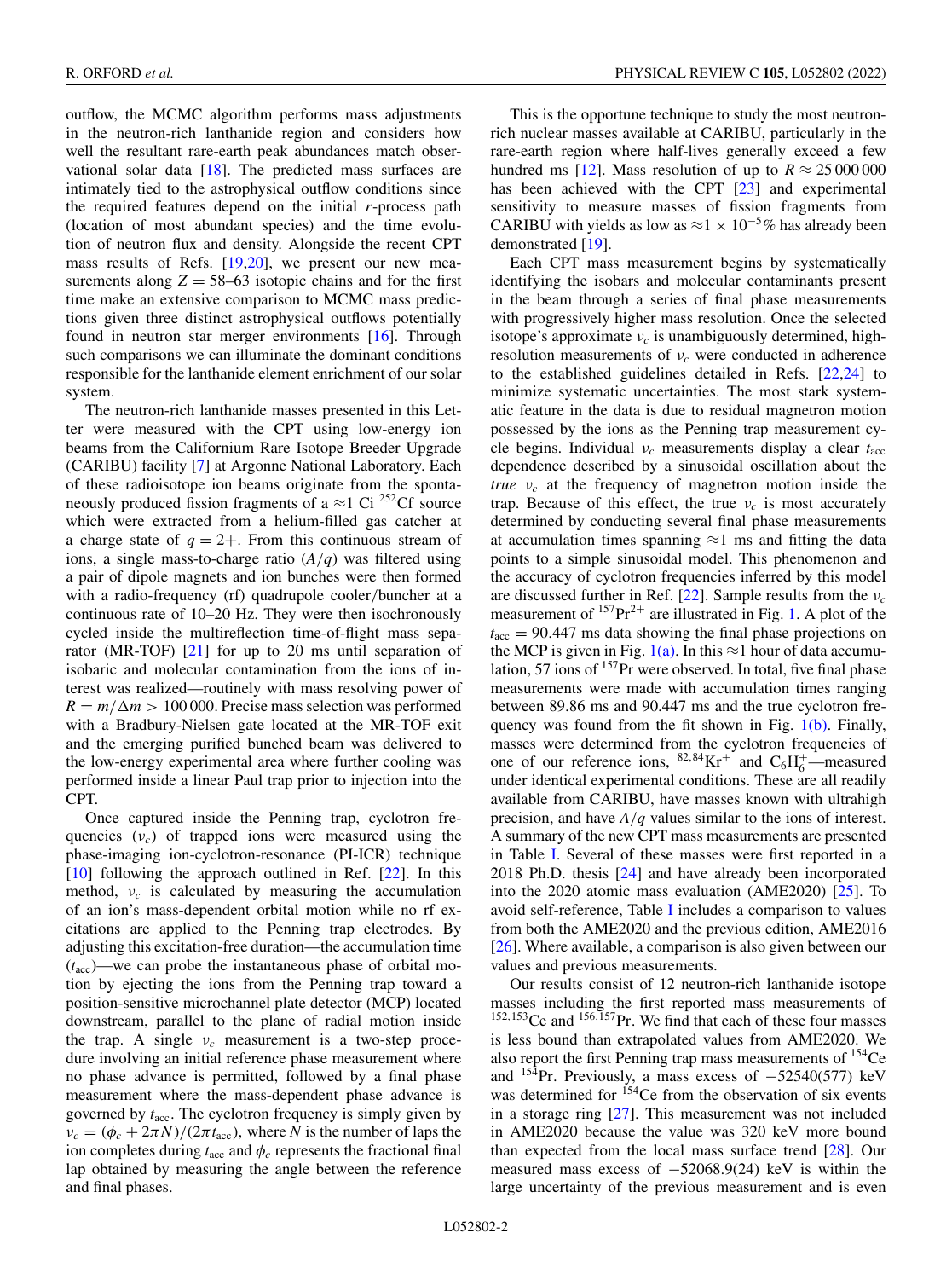outflow, the MCMC algorithm performs mass adjustments in the neutron-rich lanthanide region and considers how well the resultant rare-earth peak abundances match observational solar data  $[18]$ . The predicted mass surfaces are intimately tied to the astrophysical outflow conditions since the required features depend on the initial *r*-process path (location of most abundant species) and the time evolution of neutron flux and density. Alongside the recent CPT mass results of Refs. [\[19,20\]](#page-5-0), we present our new measurements along  $Z = 58-63$  isotopic chains and for the first time make an extensive comparison to MCMC mass predictions given three distinct astrophysical outflows potentially found in neutron star merger environments [\[16\]](#page-5-0). Through such comparisons we can illuminate the dominant conditions responsible for the lanthanide element enrichment of our solar system.

The neutron-rich lanthanide masses presented in this Letter were measured with the CPT using low-energy ion beams from the Californium Rare Isotope Breeder Upgrade (CARIBU) facility [\[7\]](#page-5-0) at Argonne National Laboratory. Each of these radioisotope ion beams originate from the spontaneously produced fission fragments of a  $\approx$ 1 Ci <sup>252</sup>Cf source which were extracted from a helium-filled gas catcher at a charge state of  $q = 2+$ . From this continuous stream of ions, a single mass-to-charge ratio (*A*/*q*) was filtered using a pair of dipole magnets and ion bunches were then formed with a radio-frequency (rf) quadrupole cooler/buncher at a continuous rate of 10–20 Hz. They were then isochronously cycled inside the multireflection time-of-flight mass separator (MR-TOF) [\[21\]](#page-5-0) for up to 20 ms until separation of isobaric and molecular contamination from the ions of interest was realized—routinely with mass resolving power of  $R = m/\Delta m > 100000$ . Precise mass selection was performed with a Bradbury-Nielsen gate located at the MR-TOF exit and the emerging purified bunched beam was delivered to the low-energy experimental area where further cooling was performed inside a linear Paul trap prior to injection into the CPT.

Once captured inside the Penning trap, cyclotron frequencies (ν*c*) of trapped ions were measured using the phase-imaging ion-cyclotron-resonance (PI-ICR) technique [\[10\]](#page-5-0) following the approach outlined in Ref. [\[22\]](#page-5-0). In this method,  $v_c$  is calculated by measuring the accumulation of an ion's mass-dependent orbital motion while no rf excitations are applied to the Penning trap electrodes. By adjusting this excitation-free duration—the accumulation time (*t*acc)—we can probe the instantaneous phase of orbital motion by ejecting the ions from the Penning trap toward a position-sensitive microchannel plate detector (MCP) located downstream, parallel to the plane of radial motion inside the trap. A single  $v_c$  measurement is a two-step procedure involving an initial reference phase measurement where no phase advance is permitted, followed by a final phase measurement where the mass-dependent phase advance is governed by *t*acc. The cyclotron frequency is simply given by  $\nu_c = (\phi_c + 2\pi N)/(2\pi t_{\text{acc}})$ , where *N* is the number of laps the ion completes during  $t_{\text{acc}}$  and  $\phi_c$  represents the fractional final lap obtained by measuring the angle between the reference and final phases.

This is the opportune technique to study the most neutronrich nuclear masses available at CARIBU, particularly in the rare-earth region where half-lives generally exceed a few hundred ms [\[12\]](#page-5-0). Mass resolution of up to  $R \approx 25000000$ has been achieved with the CPT [\[23\]](#page-5-0) and experimental sensitivity to measure masses of fission fragments from CARIBU with yields as low as  $\approx$ 1 × 10<sup>-5</sup>% has already been demonstrated [\[19\]](#page-5-0).

Each CPT mass measurement begins by systematically identifying the isobars and molecular contaminants present in the beam through a series of final phase measurements with progressively higher mass resolution. Once the selected isotope's approximate  $v_c$  is unambiguously determined, highresolution measurements of ν*<sup>c</sup>* were conducted in adherence to the established guidelines detailed in Refs. [\[22,24\]](#page-5-0) to minimize systematic uncertainties. The most stark systematic feature in the data is due to residual magnetron motion possessed by the ions as the Penning trap measurement cycle begins. Individual ν*<sup>c</sup>* measurements display a clear *t*acc dependence described by a sinusoidal oscillation about the *true* ν*<sup>c</sup>* at the frequency of magnetron motion inside the trap. Because of this effect, the true  $v_c$  is most accurately determined by conducting several final phase measurements at accumulation times spanning  $\approx$ 1 ms and fitting the data points to a simple sinusoidal model. This phenomenon and the accuracy of cyclotron frequencies inferred by this model are discussed further in Ref. [\[22\]](#page-5-0). Sample results from the ν*<sup>c</sup>* measurement of  $157 \text{Pr}^{2+}$  are illustrated in Fig. [1.](#page-2-0) A plot of the  $t_{\text{acc}} = 90.447$  ms data showing the final phase projections on the MCP is given in Fig. [1\(a\).](#page-2-0) In this  $\approx$ 1 hour of data accumulation, 57 ions of <sup>157</sup>Pr were observed. In total, five final phase measurements were made with accumulation times ranging between 89.86 ms and 90.447 ms and the true cyclotron frequency was found from the fit shown in Fig.  $1(b)$ . Finally, masses were determined from the cyclotron frequencies of one of our reference ions,  ${}^{82,84}$ Kr<sup>+</sup> and C<sub>6</sub>H<sub>6</sub><sup>-</sup>-measured under identical experimental conditions. These are all readily available from CARIBU, have masses known with ultrahigh precision, and have *A*/*q* values similar to the ions of interest. A summary of the new CPT mass measurements are presented in Table [I.](#page-3-0) Several of these masses were first reported in a 2018 Ph.D. thesis [\[24\]](#page-5-0) and have already been incorporated into the 2020 atomic mass evaluation (AME2020) [\[25\]](#page-5-0). To avoid self-reference, Table [I](#page-3-0) includes a comparison to values from both the AME2020 and the previous edition, AME2016 [\[26\]](#page-5-0). Where available, a comparison is also given between our values and previous measurements.

Our results consist of 12 neutron-rich lanthanide isotope masses including the first reported mass measurements of <sup>152,153</sup>Ce and <sup>156,157</sup>Pr. We find that each of these four masses is less bound than extrapolated values from AME2020. We also report the first Penning trap mass measurements of 154Ce and  $154$ Pr. Previously, a mass excess of  $-52540(577)$  keV was determined for <sup>154</sup>Ce from the observation of six events in a storage ring [\[27\]](#page-5-0). This measurement was not included in AME2020 because the value was 320 keV more bound than expected from the local mass surface trend [\[28\]](#page-5-0). Our measured mass excess of −52068.9(24) keV is within the large uncertainty of the previous measurement and is even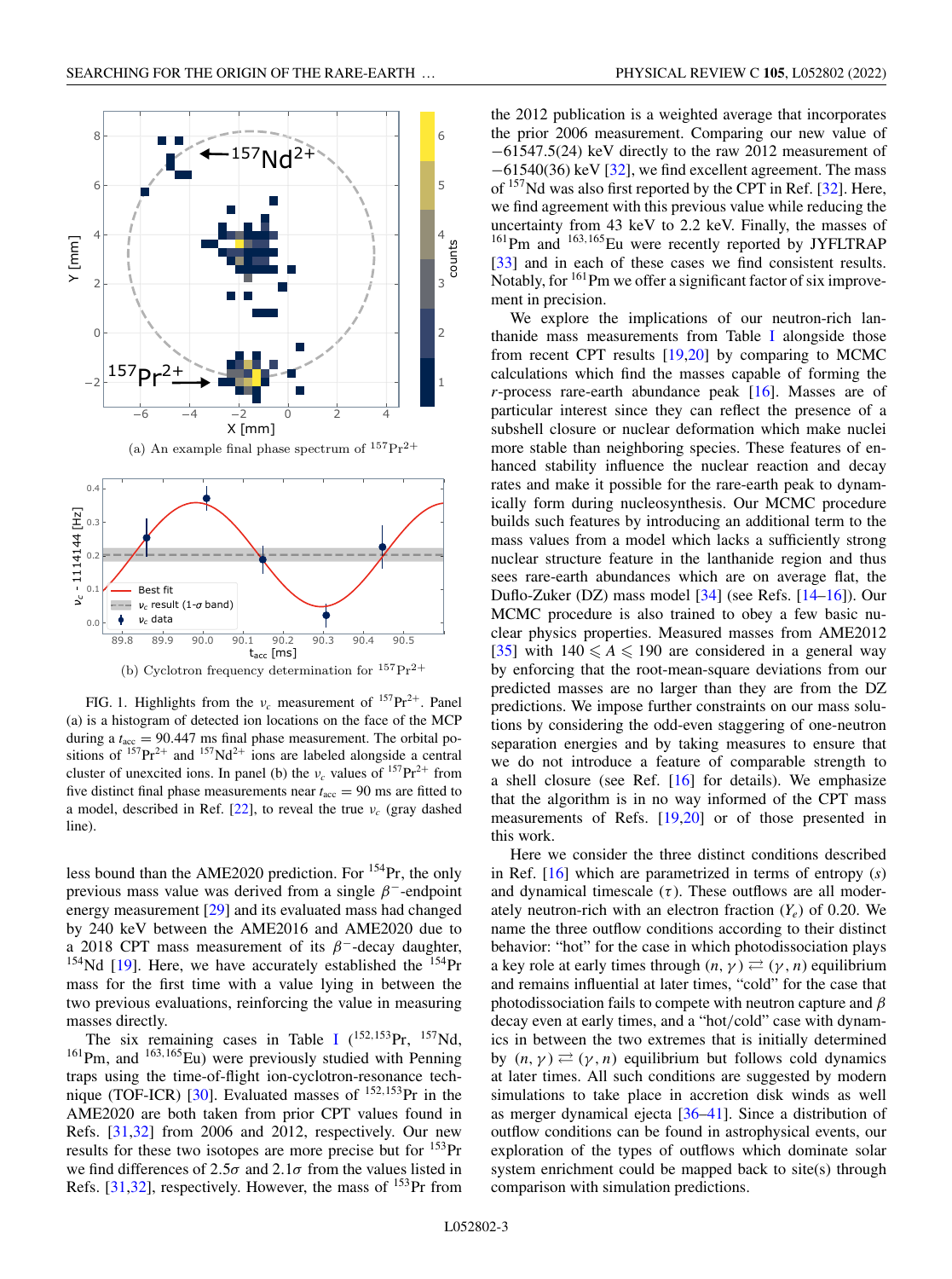<span id="page-2-0"></span>

FIG. 1. Highlights from the  $v_c$  measurement of  $157 \text{ Pr}^{2+}$ . Panel (a) is a histogram of detected ion locations on the face of the MCP during a  $t_{\text{acc}} = 90.447$  ms final phase measurement. The orbital positions of  $^{157}Pr^{2+}$  and  $^{157}Nd^{2+}$  ions are labeled alongside a central cluster of unexcited ions. In panel (b) the  $v_c$  values of  $157 \text{Pr}^{2+}$  from five distinct final phase measurements near  $t_{\text{acc}} = 90$  ms are fitted to a model, described in Ref.  $[22]$ , to reveal the true  $v_c$  (gray dashed line).

less bound than the AME2020 prediction. For 154Pr, the only previous mass value was derived from a single  $\beta^-$ -endpoint energy measurement [\[29\]](#page-5-0) and its evaluated mass had changed by 240 keV between the AME2016 and AME2020 due to a 2018 CPT mass measurement of its  $\beta^-$ -decay daughter,  $154$ Nd [\[19\]](#page-5-0). Here, we have accurately established the  $154$ Pr mass for the first time with a value lying in between the two previous evaluations, reinforcing the value in measuring masses directly.

The six remaining cases in Table [I](#page-3-0)  $(^{152,153}Pr, ^{157}Nd,$  $161$ Pm, and  $163,165$ Eu) were previously studied with Penning traps using the time-of-flight ion-cyclotron-resonance tech-nique (TOF-ICR) [\[30\]](#page-5-0). Evaluated masses of <sup>152,153</sup>Pr in the AME2020 are both taken from prior CPT values found in Refs. [\[31,32\]](#page-5-0) from 2006 and 2012, respectively. Our new results for these two isotopes are more precise but for  $^{153}$ Pr we find differences of  $2.5\sigma$  and  $2.1\sigma$  from the values listed in Refs. [\[31,32\]](#page-5-0), respectively. However, the mass of  $^{153}$ Pr from the 2012 publication is a weighted average that incorporates the prior 2006 measurement. Comparing our new value of −61547.5(24) keV directly to the raw 2012 measurement of −61540(36) keV [\[32\]](#page-5-0), we find excellent agreement. The mass of <sup>157</sup>Nd was also first reported by the CPT in Ref. [\[32\]](#page-5-0). Here, we find agreement with this previous value while reducing the uncertainty from 43 keV to 2.2 keV. Finally, the masses of <sup>161</sup>Pm and <sup>163,165</sup>Eu were recently reported by JYFLTRAP [\[33\]](#page-5-0) and in each of these cases we find consistent results. Notably, for <sup>161</sup>Pm we offer a significant factor of six improvement in precision.

We explore the implications of our neutron-rich lanthanide mass measurements from Table [I](#page-3-0) alongside those from recent CPT results [\[19,20\]](#page-5-0) by comparing to MCMC calculations which find the masses capable of forming the *r*-process rare-earth abundance peak [\[16\]](#page-5-0). Masses are of particular interest since they can reflect the presence of a subshell closure or nuclear deformation which make nuclei more stable than neighboring species. These features of enhanced stability influence the nuclear reaction and decay rates and make it possible for the rare-earth peak to dynamically form during nucleosynthesis. Our MCMC procedure builds such features by introducing an additional term to the mass values from a model which lacks a sufficiently strong nuclear structure feature in the lanthanide region and thus sees rare-earth abundances which are on average flat, the Duflo-Zuker (DZ) mass model [\[34\]](#page-5-0) (see Refs. [\[14–16\]](#page-5-0)). Our MCMC procedure is also trained to obey a few basic nuclear physics properties. Measured masses from AME2012 [\[35\]](#page-5-0) with  $140 \leq A \leq 190$  are considered in a general way by enforcing that the root-mean-square deviations from our predicted masses are no larger than they are from the DZ predictions. We impose further constraints on our mass solutions by considering the odd-even staggering of one-neutron separation energies and by taking measures to ensure that we do not introduce a feature of comparable strength to a shell closure (see Ref.  $[16]$  for details). We emphasize that the algorithm is in no way informed of the CPT mass measurements of Refs. [\[19,20\]](#page-5-0) or of those presented in this work.

Here we consider the three distinct conditions described in Ref. [\[16\]](#page-5-0) which are parametrized in terms of entropy (*s*) and dynamical timescale  $(\tau)$ . These outflows are all moderately neutron-rich with an electron fraction  $(Y_e)$  of 0.20. We name the three outflow conditions according to their distinct behavior: "hot" for the case in which photodissociation plays a key role at early times through  $(n, \gamma) \rightleftarrows (\gamma, n)$  equilibrium and remains influential at later times, "cold" for the case that photodissociation fails to compete with neutron capture and  $\beta$ decay even at early times, and a "hot/cold" case with dynamics in between the two extremes that is initially determined by  $(n, \gamma) \rightleftarrows (\gamma, n)$  equilibrium but follows cold dynamics at later times. All such conditions are suggested by modern simulations to take place in accretion disk winds as well as merger dynamical ejecta [\[36–41\]](#page-5-0). Since a distribution of outflow conditions can be found in astrophysical events, our exploration of the types of outflows which dominate solar system enrichment could be mapped back to site(s) through comparison with simulation predictions.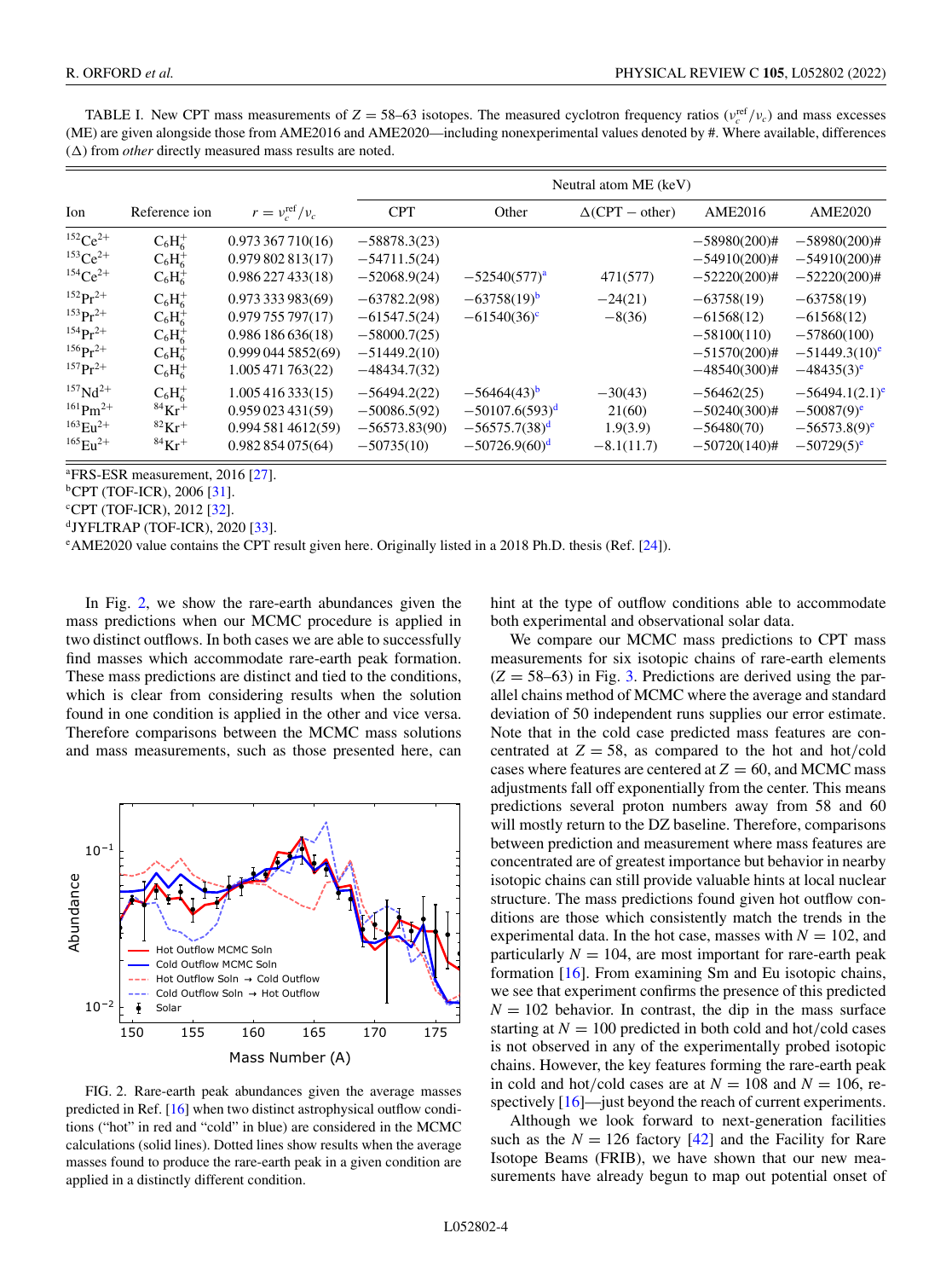<span id="page-3-0"></span>TABLE I. New CPT mass measurements of  $Z = 58-63$  isotopes. The measured cyclotron frequency ratios ( $v_c^{\text{ref}}/v_c$ ) and mass excesses (ME) are given alongside those from AME2016 and AME2020—including nonexperimental values denoted by #. Where available, differences  $(\Delta)$  from *other* directly measured mass results are noted.

| Ion                                                                                                               | Reference ion                                                                                     | $r = v_c^{\text{ref}}/v_c$                                                                     | Neutral atom ME (keV)                                                                  |                                                                                        |                                                 |                                                                                     |                                                                                               |
|-------------------------------------------------------------------------------------------------------------------|---------------------------------------------------------------------------------------------------|------------------------------------------------------------------------------------------------|----------------------------------------------------------------------------------------|----------------------------------------------------------------------------------------|-------------------------------------------------|-------------------------------------------------------------------------------------|-----------------------------------------------------------------------------------------------|
|                                                                                                                   |                                                                                                   |                                                                                                | <b>CPT</b>                                                                             | Other                                                                                  | $\Delta(CPT - other)$                           | <b>AME2016</b>                                                                      | <b>AME2020</b>                                                                                |
| $152Ce^{2+}$<br>$153$ Ce <sup>2+</sup><br>$154Ce^{2+}$                                                            | $C_6H_6^+$<br>$C_6H_6^+$<br>$C_6H_6^+$                                                            | 0.973367710(16)<br>0.979802813(17)<br>0.986227433(18)                                          | $-58878.3(23)$<br>$-54711.5(24)$<br>$-52068.9(24)$                                     | $-52540(577)^{a}$                                                                      | 471(577)                                        | $-58980(200)$ #<br>$-54910(200)$ #<br>$-52220(200)$ #                               | $-58980(200)$ #<br>$-54910(200)$ #<br>$-52220(200)$ #                                         |
| $152 p r^2$<br>$153 p r^2 +$<br>$154 p r^2$<br>$156$ $\mathrm{Pr}^{2+}$<br>$157 \,\mathrm{Pr}^{2+}$               | $C_6H_6^+$<br>$C_6H_6^+$<br>$C_6H_6^+$<br>$C_6H_6^+$<br>$C_6H_6^+$                                | 0.973333983(69)<br>0.979755797(17)<br>0.986186636(18)<br>0.9990445852(69)<br>1.005 471 763(22) | $-63782.2(98)$<br>$-61547.5(24)$<br>$-58000.7(25)$<br>$-51449.2(10)$<br>$-48434.7(32)$ | $-63758(19)^b$<br>$-61540(36)$ <sup>c</sup>                                            | $-24(21)$<br>$-8(36)$                           | $-63758(19)$<br>$-61568(12)$<br>$-58100(110)$<br>$-51570(200)$ #<br>$-48540(300)$ # | $-63758(19)$<br>$-61568(12)$<br>$-57860(100)$<br>$-51449.3(10)^e$<br>$-48435(3)$ <sup>e</sup> |
| $157$ Nd <sup>2+</sup><br>$161$ Pm <sup>2+</sup><br>$163$ $\text{E}_{11}$ <sup>2+</sup><br>$165$ $\text{E1}^{2+}$ | $C_6H_6^+$<br>${}^{84}$ Kr <sup>+</sup><br>${}^{82}$ Kr <sup>+</sup><br>${}^{84}$ Kr <sup>+</sup> | 1.005416333(15)<br>0.959023431(59)<br>0.9945814612(59)<br>0.982854075(64)                      | $-56494.2(22)$<br>$-50086.5(92)$<br>$-56573.83(90)$<br>$-50735(10)$                    | $-56464(43)$ <sup>b</sup><br>$-50107.6(593)^d$<br>$-56575.7(38)^d$<br>$-50726.9(60)^d$ | $-30(43)$<br>21(60)<br>1.9(3.9)<br>$-8.1(11.7)$ | $-56462(25)$<br>$-50240(300)$ #<br>$-56480(70)$<br>$-50720(140)$ #                  | $-56494.1(2.1)$ <sup>6</sup><br>$-50087(9)^e$<br>$-56573.8(9)^e$<br>$-50729(5)^e$             |

<sup>a</sup>FRS-ESR measurement, 2016 [\[27\]](#page-5-0).

 ${}^{b}CPT$  (TOF-ICR), 2006 [\[31\]](#page-5-0).

<sup>c</sup>CPT (TOF-ICR), 2012 [\[32\]](#page-5-0).

 $d$ JYFLTRAP (TOF-ICR), 2020 [\[33\]](#page-5-0).

e AME2020 value contains the CPT result given here. Originally listed in a 2018 Ph.D. thesis (Ref. [\[24\]](#page-5-0)).

In Fig. 2, we show the rare-earth abundances given the mass predictions when our MCMC procedure is applied in two distinct outflows. In both cases we are able to successfully find masses which accommodate rare-earth peak formation. These mass predictions are distinct and tied to the conditions, which is clear from considering results when the solution found in one condition is applied in the other and vice versa. Therefore comparisons between the MCMC mass solutions and mass measurements, such as those presented here, can



FIG. 2. Rare-earth peak abundances given the average masses predicted in Ref. [\[16\]](#page-5-0) when two distinct astrophysical outflow conditions ("hot" in red and "cold" in blue) are considered in the MCMC calculations (solid lines). Dotted lines show results when the average masses found to produce the rare-earth peak in a given condition are applied in a distinctly different condition.

hint at the type of outflow conditions able to accommodate both experimental and observational solar data.

We compare our MCMC mass predictions to CPT mass measurements for six isotopic chains of rare-earth elements  $(Z = 58-63)$  in Fig. [3.](#page-4-0) Predictions are derived using the parallel chains method of MCMC where the average and standard deviation of 50 independent runs supplies our error estimate. Note that in the cold case predicted mass features are concentrated at  $Z = 58$ , as compared to the hot and hot/cold cases where features are centered at  $Z = 60$ , and MCMC mass adjustments fall off exponentially from the center. This means predictions several proton numbers away from 58 and 60 will mostly return to the DZ baseline. Therefore, comparisons between prediction and measurement where mass features are concentrated are of greatest importance but behavior in nearby isotopic chains can still provide valuable hints at local nuclear structure. The mass predictions found given hot outflow conditions are those which consistently match the trends in the experimental data. In the hot case, masses with  $N = 102$ , and particularly  $N = 104$ , are most important for rare-earth peak formation [\[16\]](#page-5-0). From examining Sm and Eu isotopic chains, we see that experiment confirms the presence of this predicted  $N = 102$  behavior. In contrast, the dip in the mass surface starting at  $N = 100$  predicted in both cold and hot/cold cases is not observed in any of the experimentally probed isotopic chains. However, the key features forming the rare-earth peak in cold and hot/cold cases are at  $N = 108$  and  $N = 106$ , respectively  $[16]$ —just beyond the reach of current experiments.

Although we look forward to next-generation facilities such as the  $N = 126$  factory  $[42]$  and the Facility for Rare Isotope Beams (FRIB), we have shown that our new measurements have already begun to map out potential onset of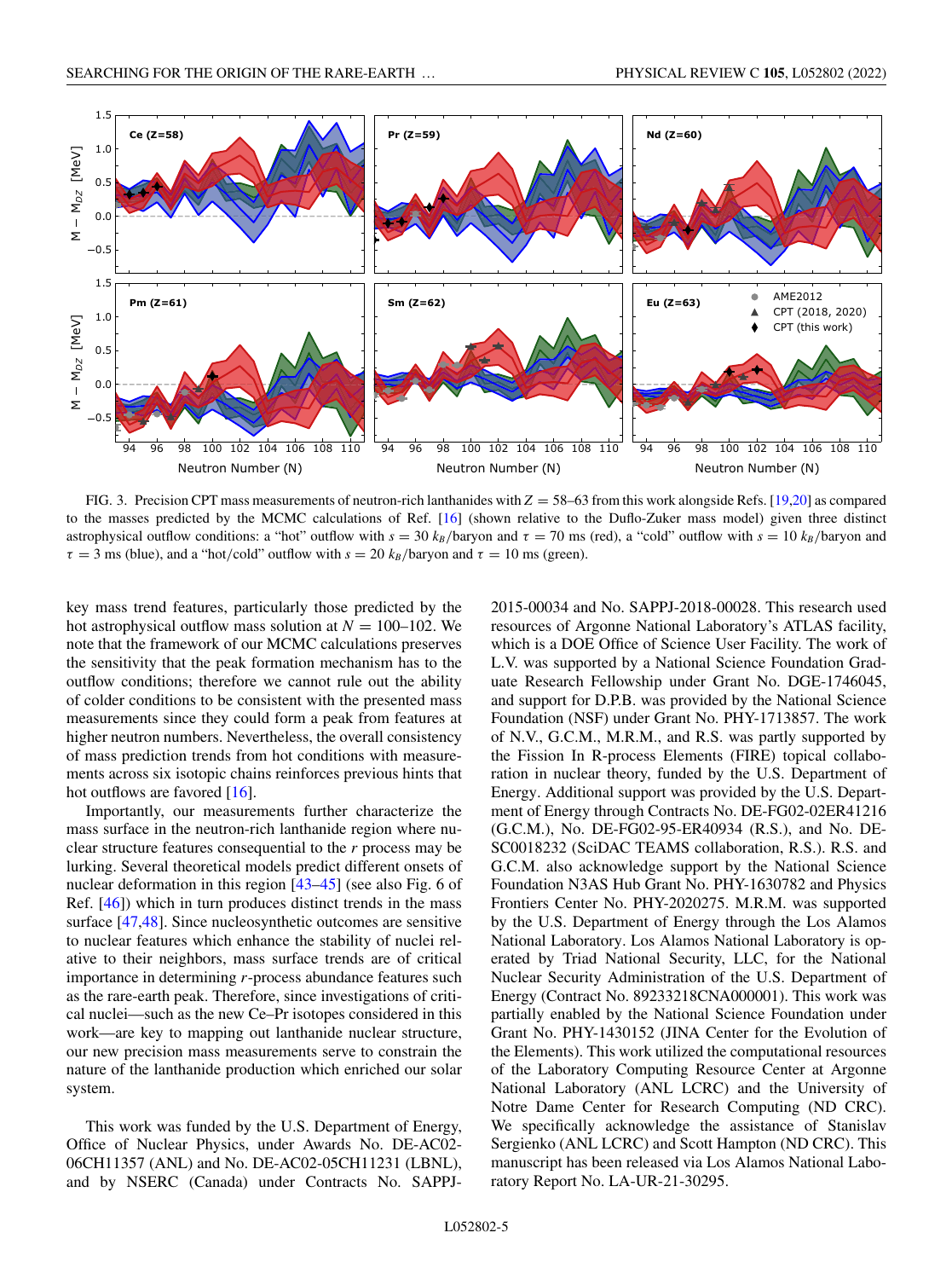<span id="page-4-0"></span>

FIG. 3. Precision CPT mass measurements of neutron-rich lanthanides with *Z* = 58–63 from this work alongside Refs. [\[19,20\]](#page-5-0) as compared to the masses predicted by the MCMC calculations of Ref. [\[16\]](#page-5-0) (shown relative to the Duflo-Zuker mass model) given three distinct astrophysical outflow conditions: a "hot" outflow with  $s = 30$   $k_B$ /baryon and  $\tau = 70$  ms (red), a "cold" outflow with  $s = 10$   $k_B$ /baryon and  $\tau = 3$  ms (blue), and a "hot/cold" outflow with  $s = 20$   $k_B$ /baryon and  $\tau = 10$  ms (green).

key mass trend features, particularly those predicted by the hot astrophysical outflow mass solution at  $N = 100-102$ . We note that the framework of our MCMC calculations preserves the sensitivity that the peak formation mechanism has to the outflow conditions; therefore we cannot rule out the ability of colder conditions to be consistent with the presented mass measurements since they could form a peak from features at higher neutron numbers. Nevertheless, the overall consistency of mass prediction trends from hot conditions with measurements across six isotopic chains reinforces previous hints that hot outflows are favored [\[16\]](#page-5-0).

Importantly, our measurements further characterize the mass surface in the neutron-rich lanthanide region where nuclear structure features consequential to the *r* process may be lurking. Several theoretical models predict different onsets of nuclear deformation in this region  $[43-45]$  $[43-45]$  (see also Fig. 6 of Ref. [\[46\]](#page-6-0)) which in turn produces distinct trends in the mass surface [\[47,48\]](#page-6-0). Since nucleosynthetic outcomes are sensitive to nuclear features which enhance the stability of nuclei relative to their neighbors, mass surface trends are of critical importance in determining *r*-process abundance features such as the rare-earth peak. Therefore, since investigations of critical nuclei—such as the new Ce–Pr isotopes considered in this work—are key to mapping out lanthanide nuclear structure, our new precision mass measurements serve to constrain the nature of the lanthanide production which enriched our solar system.

This work was funded by the U.S. Department of Energy, Office of Nuclear Physics, under Awards No. DE-AC02- 06CH11357 (ANL) and No. DE-AC02-05CH11231 (LBNL), and by NSERC (Canada) under Contracts No. SAPPJ- 2015-00034 and No. SAPPJ-2018-00028. This research used resources of Argonne National Laboratory's ATLAS facility, which is a DOE Office of Science User Facility. The work of L.V. was supported by a National Science Foundation Graduate Research Fellowship under Grant No. DGE-1746045, and support for D.P.B. was provided by the National Science Foundation (NSF) under Grant No. PHY-1713857. The work of N.V., G.C.M., M.R.M., and R.S. was partly supported by the Fission In R-process Elements (FIRE) topical collaboration in nuclear theory, funded by the U.S. Department of Energy. Additional support was provided by the U.S. Department of Energy through Contracts No. DE-FG02-02ER41216 (G.C.M.), No. DE-FG02-95-ER40934 (R.S.), and No. DE-SC0018232 (SciDAC TEAMS collaboration, R.S.). R.S. and G.C.M. also acknowledge support by the National Science Foundation N3AS Hub Grant No. PHY-1630782 and Physics Frontiers Center No. PHY-2020275. M.R.M. was supported by the U.S. Department of Energy through the Los Alamos National Laboratory. Los Alamos National Laboratory is operated by Triad National Security, LLC, for the National Nuclear Security Administration of the U.S. Department of Energy (Contract No. 89233218CNA000001). This work was partially enabled by the National Science Foundation under Grant No. PHY-1430152 (JINA Center for the Evolution of the Elements). This work utilized the computational resources of the Laboratory Computing Resource Center at Argonne National Laboratory (ANL LCRC) and the University of Notre Dame Center for Research Computing (ND CRC). We specifically acknowledge the assistance of Stanislav Sergienko (ANL LCRC) and Scott Hampton (ND CRC). This manuscript has been released via Los Alamos National Laboratory Report No. LA-UR-21-30295.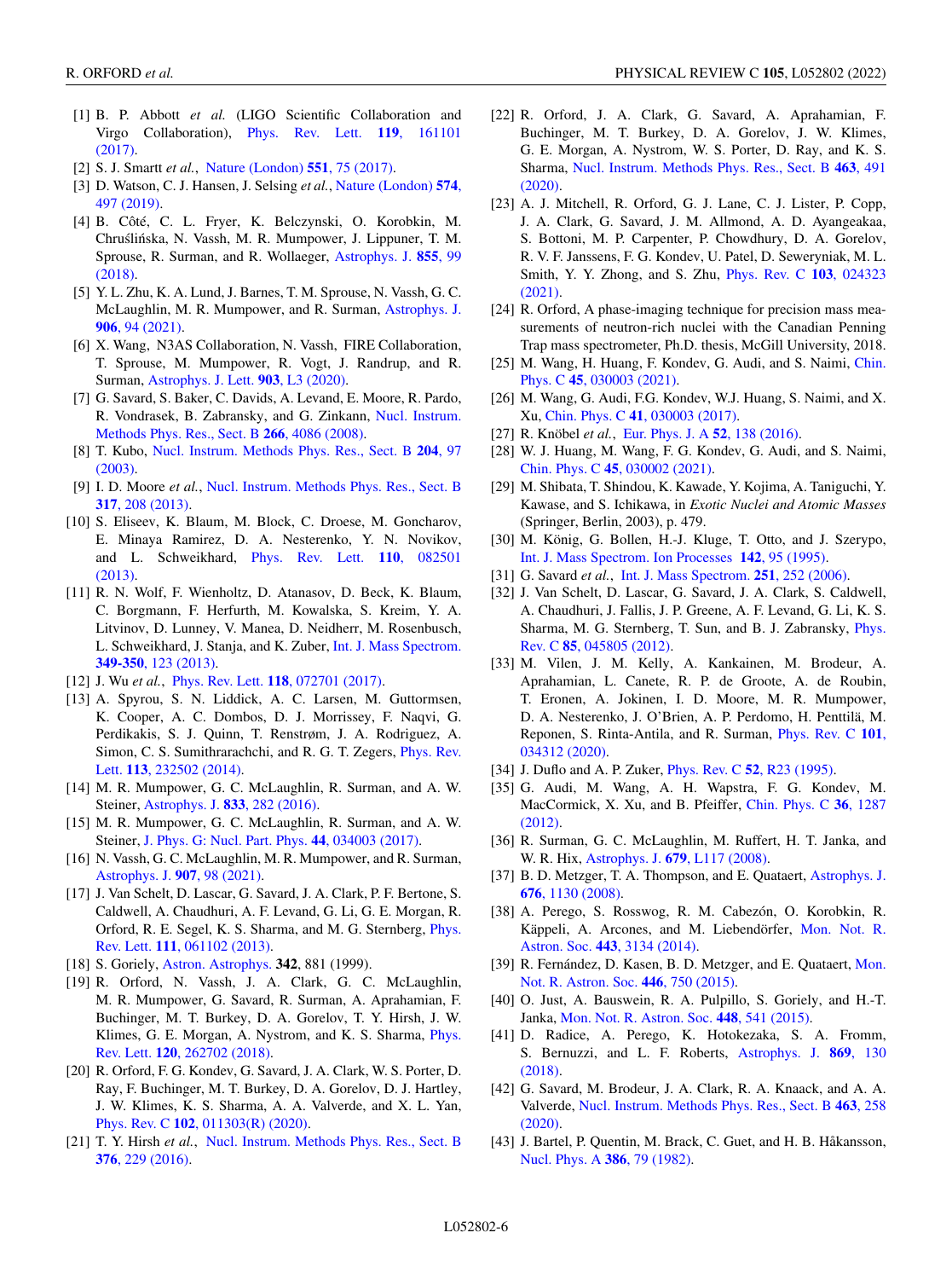- <span id="page-5-0"></span>[1] B. P. Abbott *et al.* (LIGO Scientific Collaboration and [Virgo Collaboration\),](https://doi.org/10.1103/PhysRevLett.119.161101) Phys. Rev. Lett. **119**, 161101 (2017).
- [2] S. J. Smartt *et al.*, [Nature \(London\)](https://doi.org/10.1038/nature24303) **551**, 75 (2017).
- [3] [D. Watson, C. J. Hansen, J. Selsing](https://doi.org/10.1038/s41586-019-1676-3) *et al.*, Nature (London) **574**, 497 (2019).
- [4] B. Côté, C. L. Fryer, K. Belczynski, O. Korobkin, M. Chruślińska, N. Vassh, M. R. Mumpower, J. Lippuner, T. M. [Sprouse, R. Surman, and R. Wollaeger,](https://doi.org/10.3847/1538-4357/aaad67) Astrophys. J. **855**, 99 (2018).
- [5] Y. L. Zhu, K. A. Lund, J. Barnes, T. M. Sprouse, N. Vassh, G. C. [McLaughlin, M. R. Mumpower, and R. Surman,](https://doi.org/10.3847/1538-4357/abc69e) Astrophys. J. **906**, 94 (2021).
- [6] X. Wang, N3AS Collaboration, N. Vassh, FIRE Collaboration, T. Sprouse, M. Mumpower, R. Vogt, J. Randrup, and R. Surman, [Astrophys. J. Lett.](https://doi.org/10.3847/2041-8213/abbe18) **903**, L3 (2020).
- [7] G. Savard, S. Baker, C. Davids, A. Levand, E. Moore, R. Pardo, [R. Vondrasek, B. Zabransky, and G. Zinkann,](https://doi.org/10.1016/j.nimb.2008.05.091) Nucl. Instrum. Methods Phys. Res., Sect. B **266**, 4086 (2008).
- [8] T. Kubo, [Nucl. Instrum. Methods Phys. Res., Sect. B](https://doi.org/10.1016/S0168-583X(02)01896-7) **204**, 97 (2003).
- [9] I. D. Moore *et al.*, [Nucl. Instrum. Methods Phys. Res., Sect. B](https://doi.org/10.1016/j.nimb.2013.06.036) **317**, 208 (2013).
- [10] S. Eliseev, K. Blaum, M. Block, C. Droese, M. Goncharov, E. Minaya Ramirez, D. A. Nesterenko, Y. N. Novikov, [and L. Schweikhard,](https://doi.org/10.1103/PhysRevLett.110.082501) Phys. Rev. Lett. **110**, 082501 (2013).
- [11] R. N. Wolf, F. Wienholtz, D. Atanasov, D. Beck, K. Blaum, C. Borgmann, F. Herfurth, M. Kowalska, S. Kreim, Y. A. Litvinov, D. Lunney, V. Manea, D. Neidherr, M. Rosenbusch, [L. Schweikhard, J. Stanja, and K. Zuber,](https://doi.org/10.1016/j.ijms.2013.03.020) Int. J. Mass Spectrom. **349-350**, 123 (2013).
- [12] J. Wu *et al.*, Phys. Rev. Lett. **118**[, 072701 \(2017\).](https://doi.org/10.1103/PhysRevLett.118.072701)
- [13] A. Spyrou, S. N. Liddick, A. C. Larsen, M. Guttormsen, K. Cooper, A. C. Dombos, D. J. Morrissey, F. Naqvi, G. Perdikakis, S. J. Quinn, T. Renstrøm, J. A. Rodriguez, A. [Simon, C. S. Sumithrarachchi, and R. G. T. Zegers,](https://doi.org/10.1103/PhysRevLett.113.232502) Phys. Rev. Lett. **113**, 232502 (2014).
- [14] M. R. Mumpower, G. C. McLaughlin, R. Surman, and A. W. Steiner, [Astrophys. J.](https://doi.org/10.3847/1538-4357/833/2/282) **833**, 282 (2016).
- [15] M. R. Mumpower, G. C. McLaughlin, R. Surman, and A. W. Steiner, [J. Phys. G: Nucl. Part. Phys.](https://doi.org/10.1088/1361-6471/44/3/034003) **44**, 034003 (2017).
- [16] N. Vassh, G. C. McLaughlin, M. R. Mumpower, and R. Surman, [Astrophys. J.](https://doi.org/10.3847/1538-4357/abd035) **907**, 98 (2021).
- [17] J. Van Schelt, D. Lascar, G. Savard, J. A. Clark, P. F. Bertone, S. Caldwell, A. Chaudhuri, A. F. Levand, G. Li, G. E. Morgan, R. [Orford, R. E. Segel, K. S. Sharma, and M. G. Sternberg,](https://doi.org/10.1103/PhysRevLett.111.061102) Phys. Rev. Lett. **111**, 061102 (2013).
- [18] S. Goriely, [Astron. Astrophys.](https://ui.adsabs.harvard.edu/abs/1999A%26A...342..881G/abstract) **342**, 881 (1999).
- [19] R. Orford, N. Vassh, J. A. Clark, G. C. McLaughlin, M. R. Mumpower, G. Savard, R. Surman, A. Aprahamian, F. Buchinger, M. T. Burkey, D. A. Gorelov, T. Y. Hirsh, J. W. [Klimes, G. E. Morgan, A. Nystrom, and K. S. Sharma,](https://doi.org/10.1103/PhysRevLett.120.262702) Phys. Rev. Lett. **120**, 262702 (2018).
- [20] R. Orford, F. G. Kondev, G. Savard, J. A. Clark, W. S. Porter, D. Ray, F. Buchinger, M. T. Burkey, D. A. Gorelov, D. J. Hartley, J. W. Klimes, K. S. Sharma, A. A. Valverde, and X. L. Yan, Phys. Rev. C **102**[, 011303\(R\) \(2020\).](https://doi.org/10.1103/PhysRevC.102.011303)
- [21] T. Y. Hirsh *et al.*, [Nucl. Instrum. Methods Phys. Res., Sect. B](https://doi.org/10.1016/j.nimb.2015.12.037) **376**, 229 (2016).
- [22] R. Orford, J. A. Clark, G. Savard, A. Aprahamian, F. Buchinger, M. T. Burkey, D. A. Gorelov, J. W. Klimes, G. E. Morgan, A. Nystrom, W. S. Porter, D. Ray, and K. S. Sharma, [Nucl. Instrum. Methods Phys. Res., Sect. B](https://doi.org/10.1016/j.nimb.2019.04.016) **463**, 491 (2020).
- [23] A. J. Mitchell, R. Orford, G. J. Lane, C. J. Lister, P. Copp, J. A. Clark, G. Savard, J. M. Allmond, A. D. Ayangeakaa, S. Bottoni, M. P. Carpenter, P. Chowdhury, D. A. Gorelov, R. V. F. Janssens, F. G. Kondev, U. Patel, D. Seweryniak, M. L. [Smith, Y. Y. Zhong, and S. Zhu,](https://doi.org/10.1103/PhysRevC.103.024323) Phys. Rev. C **103**, 024323 (2021).
- [24] R. Orford, A phase-imaging technique for precision mass measurements of neutron-rich nuclei with the Canadian Penning Trap mass spectrometer, Ph.D. thesis, McGill University, 2018.
- [25] [M. Wang, H. Huang, F. Kondev, G. Audi, and S. Naimi,](https://doi.org/10.1088/1674-1137/abddaf) Chin. Phys. C **45**, 030003 (2021).
- [26] M. Wang, G. Audi, F.G. Kondev, W.J. Huang, S. Naimi, and X. Xu, Chin. Phys. C **41**[, 030003 \(2017\).](https://doi.org/10.1088/1674-1137/41/3/030003)
- [27] R. Knöbel *et al.*, [Eur. Phys. J. A](https://doi.org/10.1140/epja/i2016-16138-6) **52**, 138 (2016).
- [28] W. J. Huang, M. Wang, F. G. Kondev, G. Audi, and S. Naimi, Chin. Phys. C **45**[, 030002 \(2021\).](https://doi.org/10.1088/1674-1137/abddb0)
- [29] M. Shibata, T. Shindou, K. Kawade, Y. Kojima, A. Taniguchi, Y. Kawase, and S. Ichikawa, in *Exotic Nuclei and Atomic Masses* (Springer, Berlin, 2003), p. 479.
- [30] M. König, G. Bollen, H.-J. Kluge, T. Otto, and J. Szerypo, [Int. J. Mass Spectrom. Ion Processes](https://doi.org/10.1016/0168-1176(95)04146-C) **142**, 95 (1995).
- [31] G. Savard *et al.*, [Int. J. Mass Spectrom.](https://doi.org/10.1016/j.ijms.2006.01.047) **251**, 252 (2006).
- [32] J. Van Schelt, D. Lascar, G. Savard, J. A. Clark, S. Caldwell, A. Chaudhuri, J. Fallis, J. P. Greene, A. F. Levand, G. Li, K. S. [Sharma, M. G. Sternberg, T. Sun, and B. J. Zabransky,](https://doi.org/10.1103/PhysRevC.85.045805) Phys. Rev. C **85**, 045805 (2012).
- [33] M. Vilen, J. M. Kelly, A. Kankainen, M. Brodeur, A. Aprahamian, L. Canete, R. P. de Groote, A. de Roubin, T. Eronen, A. Jokinen, I. D. Moore, M. R. Mumpower, D. A. Nesterenko, J. O'Brien, A. P. Perdomo, H. Penttilä, M. [Reponen, S. Rinta-Antila, and R. Surman,](https://doi.org/10.1103/PhysRevC.101.034312) Phys. Rev. C **101**, 034312 (2020).
- [34] J. Duflo and A. P. Zuker, Phys. Rev. C **52**[, R23 \(1995\).](https://doi.org/10.1103/PhysRevC.52.R23)
- [35] G. Audi, M. Wang, A. H. Wapstra, F. G. Kondev, M. [MacCormick, X. Xu, and B. Pfeiffer,](https://doi.org/10.1088/1674-1137/36/12/002) Chin. Phys. C **36**, 1287 (2012).
- [36] R. Surman, G. C. McLaughlin, M. Ruffert, H. T. Janka, and W. R. Hix, Astrophys. J. **679**[, L117 \(2008\).](https://doi.org/10.1086/589507)
- [37] [B. D. Metzger, T. A. Thompson, and E. Quataert,](https://doi.org/10.1086/526418) Astrophys. J. **676**, 1130 (2008).
- [38] A. Perego, S. Rosswog, R. M. Cabezón, O. Korobkin, R. [Käppeli, A. Arcones, and M. Liebendörfer,](https://doi.org/10.1093/mnras/stu1352) Mon. Not. R. Astron. Soc. **443**, 3134 (2014).
- [39] [R. Fernández, D. Kasen, B. D. Metzger, and E. Quataert,](https://doi.org/10.1093/mnras/stu2112) Mon. Not. R. Astron. Soc. **446**, 750 (2015).
- [40] O. Just, A. Bauswein, R. A. Pulpillo, S. Goriely, and H.-T. Janka, [Mon. Not. R. Astron. Soc.](https://doi.org/10.1093/mnras/stv009) **448**, 541 (2015).
- [41] D. Radice, A. Perego, K. Hotokezaka, S. A. Fromm, [S. Bernuzzi, and L. F. Roberts,](https://doi.org/10.3847/1538-4357/aaf054) Astrophys. J. **869**, 130 (2018).
- [42] G. Savard, M. Brodeur, J. A. Clark, R. A. Knaack, and A. A. Valverde, [Nucl. Instrum. Methods Phys. Res., Sect. B](https://doi.org/10.1016/j.nimb.2019.05.024) **463**, 258 (2020).
- [43] J. Bartel, P. Quentin, M. Brack, C. Guet, and H. B. Håkansson, [Nucl. Phys. A](https://doi.org/10.1016/0375-9474(82)90403-1) **386**, 79 (1982).